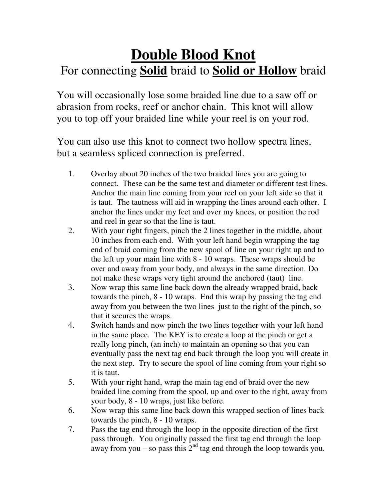## **Double Blood Knot**  For connecting **Solid** braid to **Solid or Hollow** braid

You will occasionally lose some braided line due to a saw off or abrasion from rocks, reef or anchor chain. This knot will allow you to top off your braided line while your reel is on your rod.

You can also use this knot to connect two hollow spectra lines, but a seamless spliced connection is preferred.

- 1. Overlay about 20 inches of the two braided lines you are going to connect. These can be the same test and diameter or different test lines. Anchor the main line coming from your reel on your left side so that it is taut. The tautness will aid in wrapping the lines around each other. I anchor the lines under my feet and over my knees, or position the rod and reel in gear so that the line is taut.
- 2. With your right fingers, pinch the 2 lines together in the middle, about 10 inches from each end. With your left hand begin wrapping the tag end of braid coming from the new spool of line on your right up and to the left up your main line with 8 - 10 wraps. These wraps should be over and away from your body, and always in the same direction. Do not make these wraps very tight around the anchored (taut) line.
- 3. Now wrap this same line back down the already wrapped braid, back towards the pinch, 8 - 10 wraps. End this wrap by passing the tag end away from you between the two lines just to the right of the pinch, so that it secures the wraps.
- 4. Switch hands and now pinch the two lines together with your left hand in the same place. The KEY is to create a loop at the pinch or get a really long pinch, (an inch) to maintain an opening so that you can eventually pass the next tag end back through the loop you will create in the next step. Try to secure the spool of line coming from your right so it is taut.
- 5. With your right hand, wrap the main tag end of braid over the new braided line coming from the spool, up and over to the right, away from your body, 8 - 10 wraps, just like before.
- 6. Now wrap this same line back down this wrapped section of lines back towards the pinch, 8 - 10 wraps.
- 7. Pass the tag end through the loop in the opposite direction of the first pass through. You originally passed the first tag end through the loop away from you – so pass this  $2<sup>nd</sup>$  tag end through the loop towards you.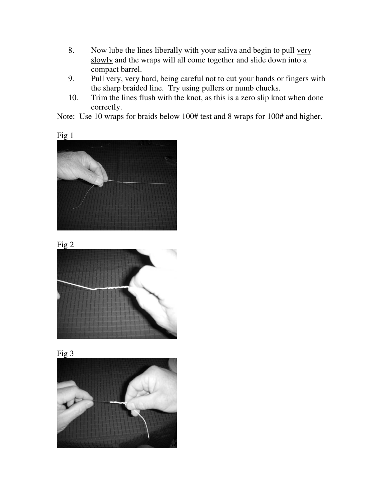- 8. Now lube the lines liberally with your saliva and begin to pull very slowly and the wraps will all come together and slide down into a compact barrel.
- 9. Pull very, very hard, being careful not to cut your hands or fingers with the sharp braided line. Try using pullers or numb chucks.
- 10. Trim the lines flush with the knot, as this is a zero slip knot when done correctly.

Note: Use 10 wraps for braids below 100# test and 8 wraps for 100# and higher.









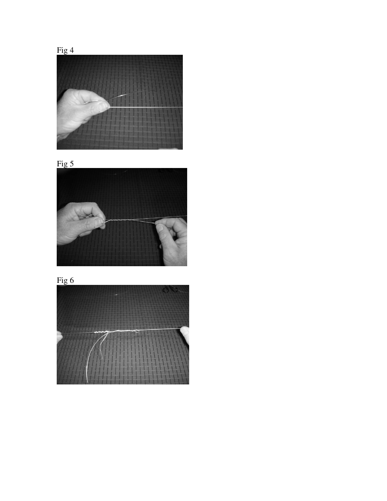